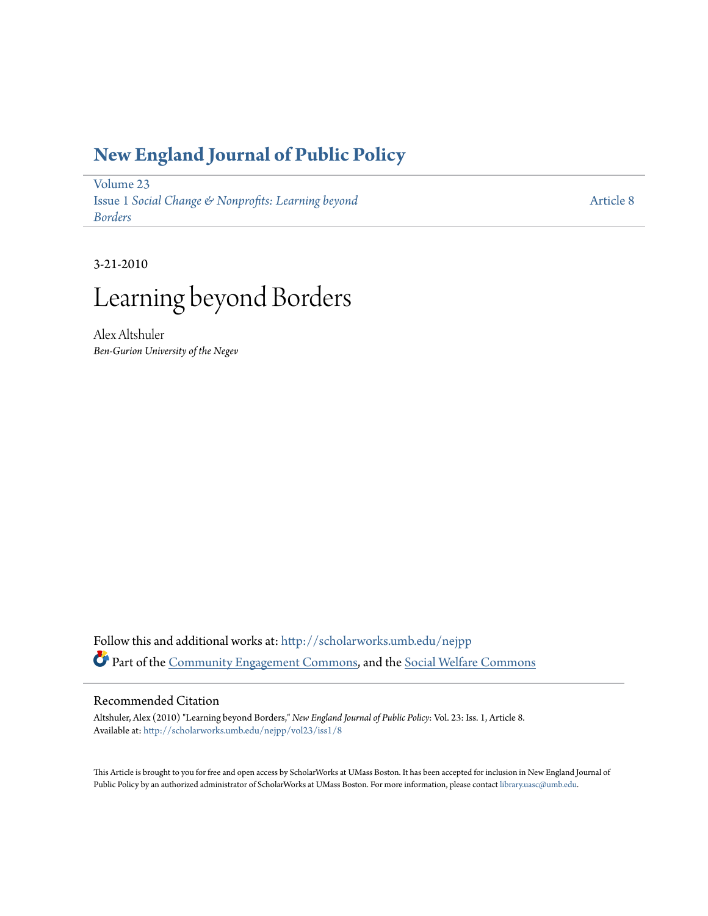### **[New England Journal of Public Policy](http://scholarworks.umb.edu/nejpp?utm_source=scholarworks.umb.edu%2Fnejpp%2Fvol23%2Fiss1%2F8&utm_medium=PDF&utm_campaign=PDFCoverPages)**

[Volume 23](http://scholarworks.umb.edu/nejpp/vol23?utm_source=scholarworks.umb.edu%2Fnejpp%2Fvol23%2Fiss1%2F8&utm_medium=PDF&utm_campaign=PDFCoverPages) Issue 1 *[Social Change & Nonprofits: Learning beyond](http://scholarworks.umb.edu/nejpp/vol23/iss1?utm_source=scholarworks.umb.edu%2Fnejpp%2Fvol23%2Fiss1%2F8&utm_medium=PDF&utm_campaign=PDFCoverPages) [Borders](http://scholarworks.umb.edu/nejpp/vol23/iss1?utm_source=scholarworks.umb.edu%2Fnejpp%2Fvol23%2Fiss1%2F8&utm_medium=PDF&utm_campaign=PDFCoverPages)*

[Article 8](http://scholarworks.umb.edu/nejpp/vol23/iss1/8?utm_source=scholarworks.umb.edu%2Fnejpp%2Fvol23%2Fiss1%2F8&utm_medium=PDF&utm_campaign=PDFCoverPages)

3-21-2010

# Learning beyond Borders

Alex Altshuler *Ben-Gurion University of the Negev*

Follow this and additional works at: [http://scholarworks.umb.edu/nejpp](http://scholarworks.umb.edu/nejpp?utm_source=scholarworks.umb.edu%2Fnejpp%2Fvol23%2Fiss1%2F8&utm_medium=PDF&utm_campaign=PDFCoverPages) Part of the [Community Engagement Commons](http://network.bepress.com/hgg/discipline/1028?utm_source=scholarworks.umb.edu%2Fnejpp%2Fvol23%2Fiss1%2F8&utm_medium=PDF&utm_campaign=PDFCoverPages), and the [Social Welfare Commons](http://network.bepress.com/hgg/discipline/401?utm_source=scholarworks.umb.edu%2Fnejpp%2Fvol23%2Fiss1%2F8&utm_medium=PDF&utm_campaign=PDFCoverPages)

#### Recommended Citation

Altshuler, Alex (2010) "Learning beyond Borders," *New England Journal of Public Policy*: Vol. 23: Iss. 1, Article 8. Available at: [http://scholarworks.umb.edu/nejpp/vol23/iss1/8](http://scholarworks.umb.edu/nejpp/vol23/iss1/8?utm_source=scholarworks.umb.edu%2Fnejpp%2Fvol23%2Fiss1%2F8&utm_medium=PDF&utm_campaign=PDFCoverPages)

This Article is brought to you for free and open access by ScholarWorks at UMass Boston. It has been accepted for inclusion in New England Journal of Public Policy by an authorized administrator of ScholarWorks at UMass Boston. For more information, please contact [library.uasc@umb.edu](mailto:library.uasc@umb.edu).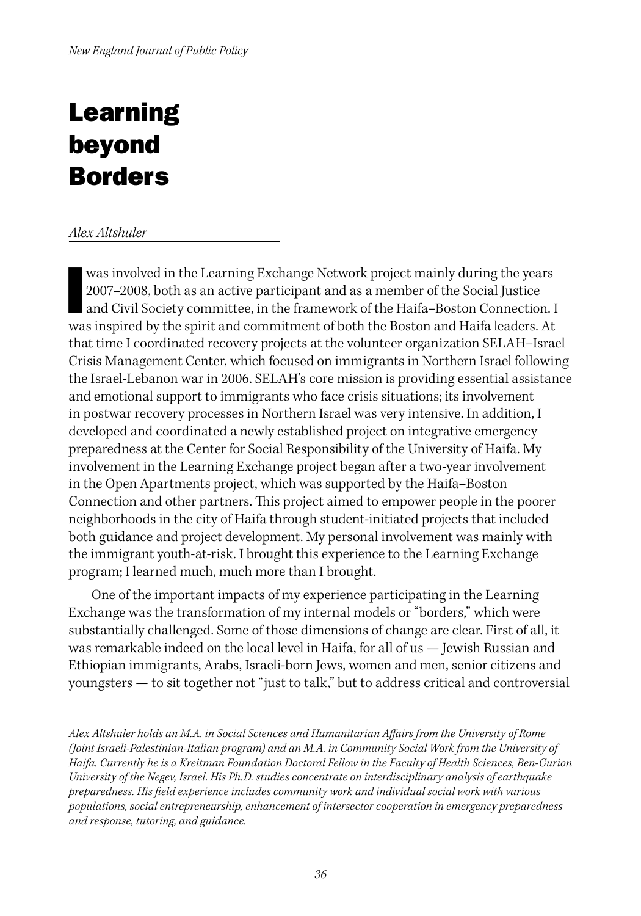## Learning beyond Borders

#### *Alex Altshuler*

was involved in the Learning Exchange Network project mainly during the years 2007–2008, both as an active participant and as a member of the Social Justice<br>and Civil Society committee, in the framework of the Haifa–Boston 2007–2008, both as an active participant and as a member of the Social Justice was inspired by the spirit and commitment of both the Boston and Haifa leaders. At that time I coordinated recovery projects at the volunteer organization SELAH–Israel Crisis Management Center, which focused on immigrants in Northern Israel following the Israel-Lebanon war in 2006. SELAH's core mission is providing essential assistance and emotional support to immigrants who face crisis situations; its involvement in postwar recovery processes in Northern Israel was very intensive. In addition, I developed and coordinated a newly established project on integrative emergency preparedness at the Center for Social Responsibility of the University of Haifa. My involvement in the Learning Exchange project began after a two-year involvement in the Open Apartments project, which was supported by the Haifa–Boston Connection and other partners. This project aimed to empower people in the poorer neighborhoods in the city of Haifa through student-initiated projects that included both guidance and project development. My personal involvement was mainly with the immigrant youth-at-risk. I brought this experience to the Learning Exchange program; I learned much, much more than I brought.

One of the important impacts of my experience participating in the Learning Exchange was the transformation of my internal models or "borders," which were substantially challenged. Some of those dimensions of change are clear. First of all, it was remarkable indeed on the local level in Haifa, for all of us — Jewish Russian and Ethiopian immigrants, Arabs, Israeli-born Jews, women and men, senior citizens and youngsters — to sit together not "just to talk," but to address critical and controversial

*Alex Altshuler holds an M.A. in Social Sciences and Humanitarian Affairs from the University of Rome (Joint Israeli-Palestinian-Italian program) and an M.A. in Community Social Work from the University of Haifa. Currently he is a Kreitman Foundation Doctoral Fellow in the Faculty of Health Sciences, Ben-Gurion University of the Negev, Israel. His Ph.D. studies concentrate on interdisciplinary analysis of earthquake preparedness. His field experience includes community work and individual social work with various populations, social entrepreneurship, enhancement of intersector cooperation in emergency preparedness and response, tutoring, and guidance.*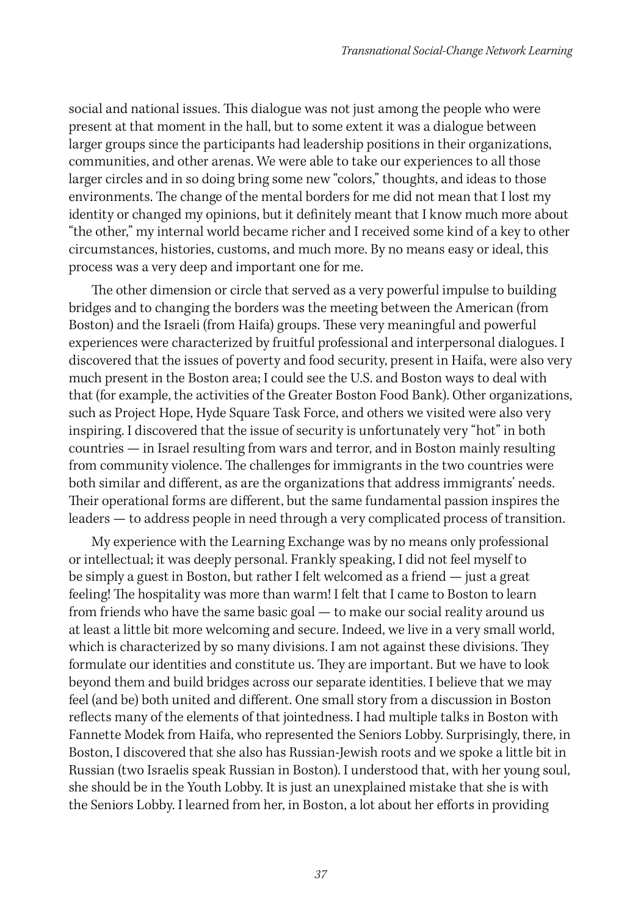social and national issues. This dialogue was not just among the people who were present at that moment in the hall, but to some extent it was a dialogue between larger groups since the participants had leadership positions in their organizations, communities, and other arenas. We were able to take our experiences to all those larger circles and in so doing bring some new "colors," thoughts, and ideas to those environments. The change of the mental borders for me did not mean that I lost my identity or changed my opinions, but it definitely meant that I know much more about "the other," my internal world became richer and I received some kind of a key to other circumstances, histories, customs, and much more. By no means easy or ideal, this process was a very deep and important one for me.

The other dimension or circle that served as a very powerful impulse to building bridges and to changing the borders was the meeting between the American (from Boston) and the Israeli (from Haifa) groups. These very meaningful and powerful experiences were characterized by fruitful professional and interpersonal dialogues. I discovered that the issues of poverty and food security, present in Haifa, were also very much present in the Boston area; I could see the U.S. and Boston ways to deal with that (for example, the activities of the Greater Boston Food Bank). Other organizations, such as Project Hope, Hyde Square Task Force, and others we visited were also very inspiring. I discovered that the issue of security is unfortunately very "hot" in both countries — in Israel resulting from wars and terror, and in Boston mainly resulting from community violence. The challenges for immigrants in the two countries were both similar and different, as are the organizations that address immigrants' needs. Their operational forms are different, but the same fundamental passion inspires the leaders — to address people in need through a very complicated process of transition.

My experience with the Learning Exchange was by no means only professional or intellectual; it was deeply personal. Frankly speaking, I did not feel myself to be simply a guest in Boston, but rather I felt welcomed as a friend — just a great feeling! The hospitality was more than warm! I felt that I came to Boston to learn from friends who have the same basic goal — to make our social reality around us at least a little bit more welcoming and secure. Indeed, we live in a very small world, which is characterized by so many divisions. I am not against these divisions. They formulate our identities and constitute us. They are important. But we have to look beyond them and build bridges across our separate identities. I believe that we may feel (and be) both united and different. One small story from a discussion in Boston reflects many of the elements of that jointedness. I had multiple talks in Boston with Fannette Modek from Haifa, who represented the Seniors Lobby. Surprisingly, there, in Boston, I discovered that she also has Russian-Jewish roots and we spoke a little bit in Russian (two Israelis speak Russian in Boston). I understood that, with her young soul, she should be in the Youth Lobby. It is just an unexplained mistake that she is with the Seniors Lobby. I learned from her, in Boston, a lot about her efforts in providing